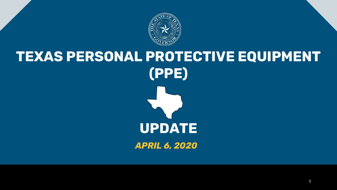

# **TEXAS PERSONAL PROTECTIVE EQUIPMENT (PPE) UPDATE** *APRIL 6, 2020*

1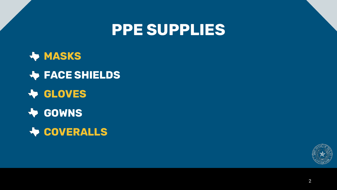### **PPE SUPPLIES**

**MASKS FACE SHIELDS GLOVES FOWNS WEDDERALLS** 

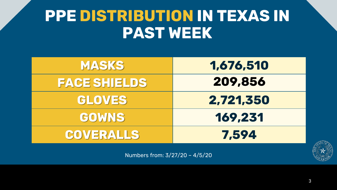### **PPE DISTRIBUTION IN TEXAS IN PAST WEEK**

| 1,676,510 | <b>MASKS</b>        |
|-----------|---------------------|
| 209,856   | <b>FACE SHIELDS</b> |
| 2,721,350 | <b>GLOVES</b>       |
| 169,231   | <b>GOWNS</b>        |
| 7,594     | <b>COVERALLS</b>    |

Numbers from: 3/27/20 – 4/5/20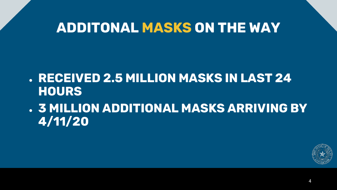### **ADDITONAL MASKS ON THE WAY**

- **RECEIVED 2.5 MILLION MASKS IN LAST 24 HOURS**
- **3 MILLION ADDITIONAL MASKS ARRIVING BY 4/11/20**

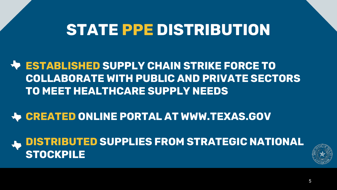### **STATE PPE DISTRIBUTION**

#### **ESTABLISHED SUPPLY CHAIN STRIKE FORCE TO COLLABORATE WITH PUBLIC AND PRIVATE SECTORS TO MEET HEALTHCARE SUPPLY NEEDS**

#### **Let CREATED ONLINE PORTAL AT WWW.TEXAS.GOV**

**DISTRIBUTED SUPPLIES FROM STRATEGIC NATIONAL STOCKPILE**

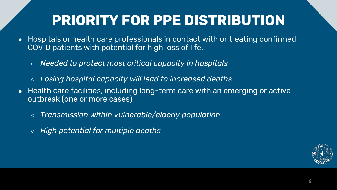### **PRIORITY FOR PPE DISTRIBUTION**

- Hospitals or health care professionals in contact with or treating confirmed COVID patients with potential for high loss of life.
	- *Needed to protect most critical capacity in hospitals*
	- Losing hospital capacity will lead to increased deaths.
- Health care facilities, including long-term care with an emerging or active outbreak (one or more cases)
	- *Transmission within vulnerable/elderly population*
	- *High potential for multiple deaths*

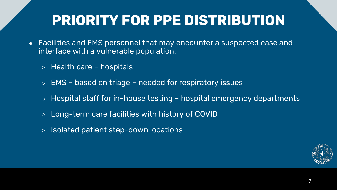### **PRIORITY FOR PPE DISTRIBUTION**

- Facilities and EMS personnel that may encounter a suspected case and interface with a vulnerable population.
	- $\circ$  Health care hospitals
	- EMS based on triage needed for respiratory issues
	- $\circ$  Hospital staff for in-house testing hospital emergency departments
	- Long-term care facilities with history of COVID
	- Isolated patient step-down locations

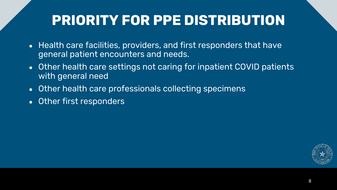### **PRIORITY FOR PPE DISTRIBUTION**

- Health care facilities, providers, and first responders that have general patient encounters and needs.
- Other health care settings not caring for inpatient COVID patients with general need
- Other health care professionals collecting specimens
- Other first responders

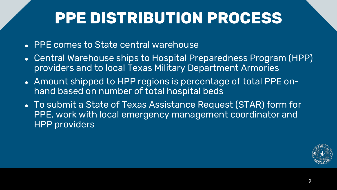## **PPE DISTRIBUTION PROCESS**

- PPE comes to State central warehouse
- Central Warehouse ships to Hospital Preparedness Program (HPP) providers and to local Texas Military Department Armories
- Amount shipped to HPP regions is percentage of total PPE onhand based on number of total hospital beds
- To submit a State of Texas Assistance Request (STAR) form for PPE, work with local emergency management coordinator and HPP providers

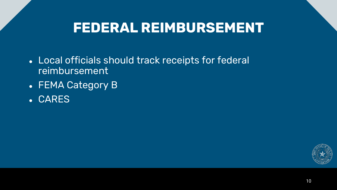### **FEDERAL REIMBURSEMENT**

- Local officials should track receipts for federal reimbursement
- FEMA Category B
- CARES

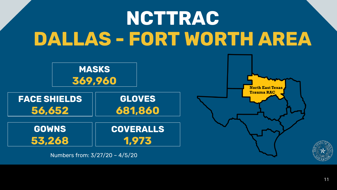# **NCTTRAC DALLAS - FORT WORTH AREA**

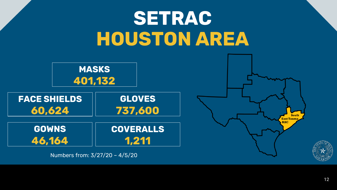# **SETRAC HOUSTON AREA**



12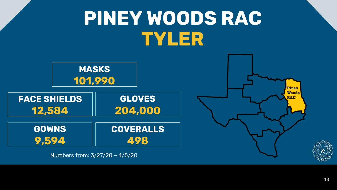# **PINEY WOODS RAC TYLER**



Numbers from: 3/27/20 – 4/5/20

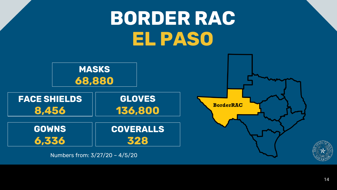# **BORDER RAC EL PASO**

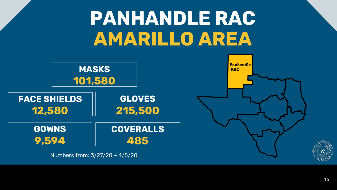# **PANHANDLE RAC AMARILLO AREA**

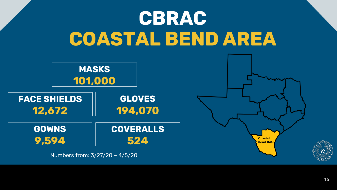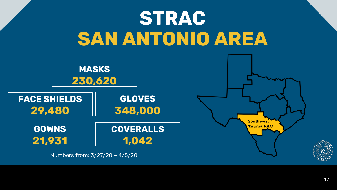# **STRAC SAN ANTONIO AREA**